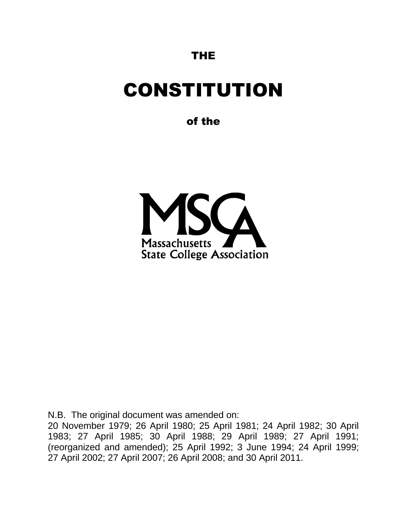### THE

# CONSTITUTION

of the



N.B. The original document was amended on:

20 November 1979; 26 April 1980; 25 April 1981; 24 April 1982; 30 April 1983; 27 April 1985; 30 April 1988; 29 April 1989; 27 April 1991; (reorganized and amended); 25 April 1992; 3 June 1994; 24 April 1999; 27 April 2002; 27 April 2007; 26 April 2008; and 30 April 2011.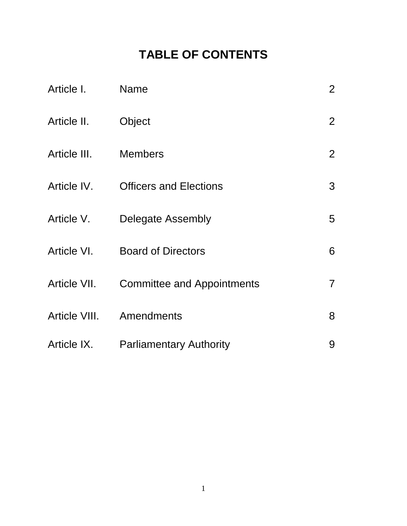## **TABLE OF CONTENTS**

| Article I.   | <b>Name</b>                       | $\overline{2}$ |
|--------------|-----------------------------------|----------------|
| Article II.  | Object                            | $\overline{2}$ |
| Article III. | <b>Members</b>                    | $\overline{2}$ |
| Article IV.  | <b>Officers and Elections</b>     | 3              |
| Article V.   | Delegate Assembly                 | 5              |
| Article VI.  | <b>Board of Directors</b>         | 6              |
| Article VII. | <b>Committee and Appointments</b> | $\overline{7}$ |
|              | Article VIII. Amendments          | 8              |
| Article IX.  | <b>Parliamentary Authority</b>    | 9              |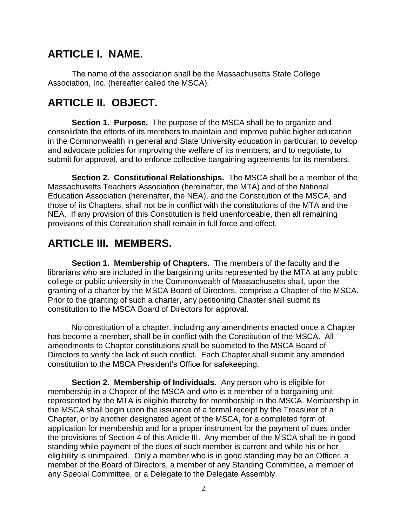### **ARTICLE I. NAME.**

The name of the association shall be the Massachusetts State College Association, Inc. (hereafter called the MSCA).

### **ARTICLE II. OBJECT.**

**Section 1. Purpose.** The purpose of the MSCA shall be to organize and consolidate the efforts of its members to maintain and improve public higher education in the Commonwealth in general and State University education in particular; to develop and advocate policies for improving the welfare of its members; and to negotiate, to submit for approval, and to enforce collective bargaining agreements for its members.

**Section 2. Constitutional Relationships.** The MSCA shall be a member of the Massachusetts Teachers Association (hereinafter, the MTA) and of the National Education Association (hereinafter, the NEA), and the Constitution of the MSCA, and those of its Chapters, shall not be in conflict with the constitutions of the MTA and the NEA. If any provision of this Constitution is held unenforceable, then all remaining provisions of this Constitution shall remain in full force and effect.

### **ARTICLE III. MEMBERS.**

**Section 1. Membership of Chapters.** The members of the faculty and the librarians who are included in the bargaining units represented by the MTA at any public college or public university in the Commonwealth of Massachusetts shall, upon the granting of a charter by the MSCA Board of Directors, comprise a Chapter of the MSCA. Prior to the granting of such a charter, any petitioning Chapter shall submit its constitution to the MSCA Board of Directors for approval.

No constitution of a chapter, including any amendments enacted once a Chapter has become a member, shall be in conflict with the Constitution of the MSCA. All amendments to Chapter constitutions shall be submitted to the MSCA Board of Directors to verify the lack of such conflict. Each Chapter shall submit any amended constitution to the MSCA President's Office for safekeeping.

**Section 2. Membership of Individuals.** Any person who is eligible for membership in a Chapter of the MSCA and who is a member of a bargaining unit represented by the MTA is eligible thereby for membership in the MSCA. Membership in the MSCA shall begin upon the issuance of a formal receipt by the Treasurer of a Chapter, or by another designated agent of the MSCA, for a completed form of application for membership and for a proper instrument for the payment of dues under the provisions of Section 4 of this Article III. Any member of the MSCA shall be in good standing while payment of the dues of such member is current and while his or her eligibility is unimpaired. Only a member who is in good standing may be an Officer, a member of the Board of Directors, a member of any Standing Committee, a member of any Special Committee, or a Delegate to the Delegate Assembly.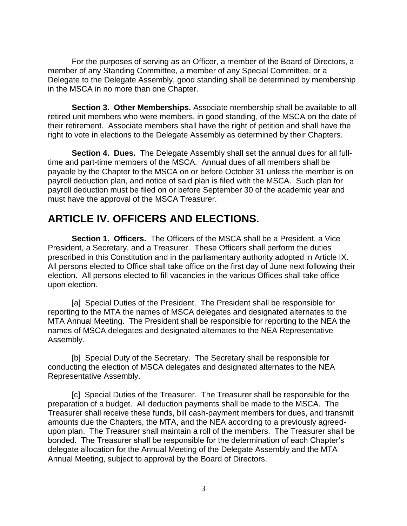For the purposes of serving as an Officer, a member of the Board of Directors, a member of any Standing Committee, a member of any Special Committee, or a Delegate to the Delegate Assembly, good standing shall be determined by membership in the MSCA in no more than one Chapter.

**Section 3. Other Memberships.** Associate membership shall be available to all retired unit members who were members, in good standing, of the MSCA on the date of their retirement. Associate members shall have the right of petition and shall have the right to vote in elections to the Delegate Assembly as determined by their Chapters.

**Section 4. Dues.** The Delegate Assembly shall set the annual dues for all fulltime and part-time members of the MSCA. Annual dues of all members shall be payable by the Chapter to the MSCA on or before October 31 unless the member is on payroll deduction plan, and notice of said plan is filed with the MSCA. Such plan for payroll deduction must be filed on or before September 30 of the academic year and must have the approval of the MSCA Treasurer.

### **ARTICLE IV. OFFICERS AND ELECTIONS.**

**Section 1. Officers.** The Officers of the MSCA shall be a President, a Vice President, a Secretary, and a Treasurer. These Officers shall perform the duties prescribed in this Constitution and in the parliamentary authority adopted in Article IX. All persons elected to Office shall take office on the first day of June next following their election. All persons elected to fill vacancies in the various Offices shall take office upon election.

[a] Special Duties of the President. The President shall be responsible for reporting to the MTA the names of MSCA delegates and designated alternates to the MTA Annual Meeting. The President shall be responsible for reporting to the NEA the names of MSCA delegates and designated alternates to the NEA Representative Assembly.

[b] Special Duty of the Secretary. The Secretary shall be responsible for conducting the election of MSCA delegates and designated alternates to the NEA Representative Assembly.

[c] Special Duties of the Treasurer. The Treasurer shall be responsible for the preparation of a budget. All deduction payments shall be made to the MSCA. The Treasurer shall receive these funds, bill cash-payment members for dues, and transmit amounts due the Chapters, the MTA, and the NEA according to a previously agreedupon plan. The Treasurer shall maintain a roll of the members. The Treasurer shall be bonded. The Treasurer shall be responsible for the determination of each Chapter's delegate allocation for the Annual Meeting of the Delegate Assembly and the MTA Annual Meeting, subject to approval by the Board of Directors.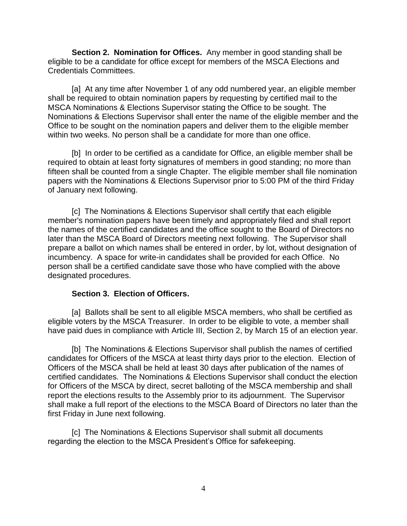**Section 2. Nomination for Offices.** Any member in good standing shall be eligible to be a candidate for office except for members of the MSCA Elections and Credentials Committees.

[a] At any time after November 1 of any odd numbered year, an eligible member shall be required to obtain nomination papers by requesting by certified mail to the MSCA Nominations & Elections Supervisor stating the Office to be sought. The Nominations & Elections Supervisor shall enter the name of the eligible member and the Office to be sought on the nomination papers and deliver them to the eligible member within two weeks. No person shall be a candidate for more than one office.

[b] In order to be certified as a candidate for Office, an eligible member shall be required to obtain at least forty signatures of members in good standing; no more than fifteen shall be counted from a single Chapter. The eligible member shall file nomination papers with the Nominations & Elections Supervisor prior to 5:00 PM of the third Friday of January next following.

[c] The Nominations & Elections Supervisor shall certify that each eligible member's nomination papers have been timely and appropriately filed and shall report the names of the certified candidates and the office sought to the Board of Directors no later than the MSCA Board of Directors meeting next following. The Supervisor shall prepare a ballot on which names shall be entered in order, by lot, without designation of incumbency. A space for write-in candidates shall be provided for each Office. No person shall be a certified candidate save those who have complied with the above designated procedures.

#### **Section 3. Election of Officers.**

[a] Ballots shall be sent to all eligible MSCA members, who shall be certified as eligible voters by the MSCA Treasurer. In order to be eligible to vote, a member shall have paid dues in compliance with Article III, Section 2, by March 15 of an election year.

[b] The Nominations & Elections Supervisor shall publish the names of certified candidates for Officers of the MSCA at least thirty days prior to the election. Election of Officers of the MSCA shall be held at least 30 days after publication of the names of certified candidates. The Nominations & Elections Supervisor shall conduct the election for Officers of the MSCA by direct, secret balloting of the MSCA membership and shall report the elections results to the Assembly prior to its adjournment. The Supervisor shall make a full report of the elections to the MSCA Board of Directors no later than the first Friday in June next following.

[c] The Nominations & Elections Supervisor shall submit all documents regarding the election to the MSCA President's Office for safekeeping.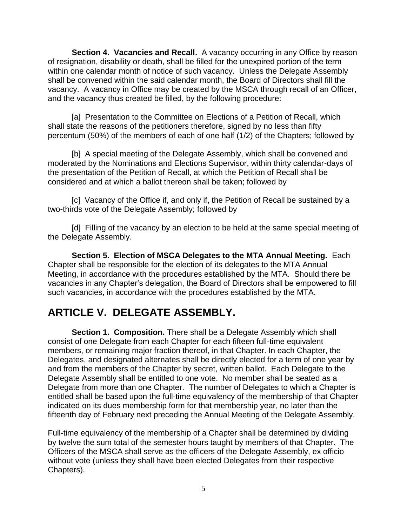**Section 4. Vacancies and Recall.** A vacancy occurring in any Office by reason of resignation, disability or death, shall be filled for the unexpired portion of the term within one calendar month of notice of such vacancy. Unless the Delegate Assembly shall be convened within the said calendar month, the Board of Directors shall fill the vacancy. A vacancy in Office may be created by the MSCA through recall of an Officer, and the vacancy thus created be filled, by the following procedure:

[a] Presentation to the Committee on Elections of a Petition of Recall, which shall state the reasons of the petitioners therefore, signed by no less than fifty percentum (50%) of the members of each of one half (1/2) of the Chapters; followed by

[b] A special meeting of the Delegate Assembly, which shall be convened and moderated by the Nominations and Elections Supervisor, within thirty calendar-days of the presentation of the Petition of Recall, at which the Petition of Recall shall be considered and at which a ballot thereon shall be taken; followed by

[c] Vacancy of the Office if, and only if, the Petition of Recall be sustained by a two-thirds vote of the Delegate Assembly; followed by

[d] Filling of the vacancy by an election to be held at the same special meeting of the Delegate Assembly.

**Section 5. Election of MSCA Delegates to the MTA Annual Meeting.** Each Chapter shall be responsible for the election of its delegates to the MTA Annual Meeting, in accordance with the procedures established by the MTA. Should there be vacancies in any Chapter's delegation, the Board of Directors shall be empowered to fill such vacancies, in accordance with the procedures established by the MTA.

### **ARTICLE V. DELEGATE ASSEMBLY.**

**Section 1. Composition.** There shall be a Delegate Assembly which shall consist of one Delegate from each Chapter for each fifteen full-time equivalent members, or remaining major fraction thereof, in that Chapter. In each Chapter, the Delegates, and designated alternates shall be directly elected for a term of one year by and from the members of the Chapter by secret, written ballot. Each Delegate to the Delegate Assembly shall be entitled to one vote. No member shall be seated as a Delegate from more than one Chapter. The number of Delegates to which a Chapter is entitled shall be based upon the full-time equivalency of the membership of that Chapter indicated on its dues membership form for that membership year, no later than the fifteenth day of February next preceding the Annual Meeting of the Delegate Assembly.

Full-time equivalency of the membership of a Chapter shall be determined by dividing by twelve the sum total of the semester hours taught by members of that Chapter. The Officers of the MSCA shall serve as the officers of the Delegate Assembly, ex officio without vote (unless they shall have been elected Delegates from their respective Chapters).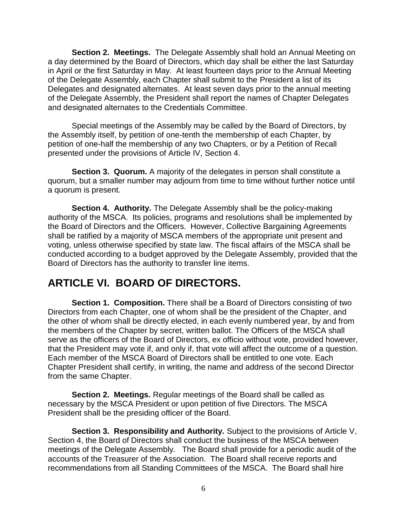**Section 2. Meetings.** The Delegate Assembly shall hold an Annual Meeting on a day determined by the Board of Directors, which day shall be either the last Saturday in April or the first Saturday in May. At least fourteen days prior to the Annual Meeting of the Delegate Assembly, each Chapter shall submit to the President a list of its Delegates and designated alternates. At least seven days prior to the annual meeting of the Delegate Assembly, the President shall report the names of Chapter Delegates and designated alternates to the Credentials Committee.

Special meetings of the Assembly may be called by the Board of Directors, by the Assembly itself, by petition of one-tenth the membership of each Chapter, by petition of one-half the membership of any two Chapters, or by a Petition of Recall presented under the provisions of Article IV, Section 4.

**Section 3. Quorum.** A majority of the delegates in person shall constitute a quorum, but a smaller number may adjourn from time to time without further notice until a quorum is present.

**Section 4. Authority.** The Delegate Assembly shall be the policy-making authority of the MSCA. Its policies, programs and resolutions shall be implemented by the Board of Directors and the Officers. However, Collective Bargaining Agreements shall be ratified by a majority of MSCA members of the appropriate unit present and voting, unless otherwise specified by state law. The fiscal affairs of the MSCA shall be conducted according to a budget approved by the Delegate Assembly, provided that the Board of Directors has the authority to transfer line items.

### **ARTICLE VI. BOARD OF DIRECTORS.**

**Section 1. Composition.** There shall be a Board of Directors consisting of two Directors from each Chapter, one of whom shall be the president of the Chapter, and the other of whom shall be directly elected, in each evenly numbered year, by and from the members of the Chapter by secret, written ballot. The Officers of the MSCA shall serve as the officers of the Board of Directors, ex officio without vote, provided however, that the President may vote if, and only if, that vote will affect the outcome of a question. Each member of the MSCA Board of Directors shall be entitled to one vote. Each Chapter President shall certify, in writing, the name and address of the second Director from the same Chapter.

**Section 2. Meetings.** Regular meetings of the Board shall be called as necessary by the MSCA President or upon petition of five Directors. The MSCA President shall be the presiding officer of the Board.

**Section 3. Responsibility and Authority.** Subject to the provisions of Article V. Section 4, the Board of Directors shall conduct the business of the MSCA between meetings of the Delegate Assembly. The Board shall provide for a periodic audit of the accounts of the Treasurer of the Association. The Board shall receive reports and recommendations from all Standing Committees of the MSCA. The Board shall hire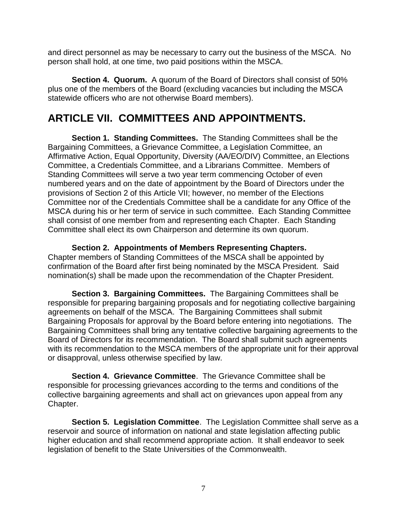and direct personnel as may be necessary to carry out the business of the MSCA. No person shall hold, at one time, two paid positions within the MSCA.

**Section 4. Quorum.** A quorum of the Board of Directors shall consist of 50% plus one of the members of the Board (excluding vacancies but including the MSCA statewide officers who are not otherwise Board members).

### **ARTICLE VII. COMMITTEES AND APPOINTMENTS.**

**Section 1. Standing Committees.** The Standing Committees shall be the Bargaining Committees, a Grievance Committee, a Legislation Committee, an Affirmative Action, Equal Opportunity, Diversity (AA/EO/DIV) Committee, an Elections Committee, a Credentials Committee, and a Librarians Committee. Members of Standing Committees will serve a two year term commencing October of even numbered years and on the date of appointment by the Board of Directors under the provisions of Section 2 of this Article VII; however, no member of the Elections Committee nor of the Credentials Committee shall be a candidate for any Office of the MSCA during his or her term of service in such committee. Each Standing Committee shall consist of one member from and representing each Chapter. Each Standing Committee shall elect its own Chairperson and determine its own quorum.

### **Section 2. Appointments of Members Representing Chapters.**

Chapter members of Standing Committees of the MSCA shall be appointed by confirmation of the Board after first being nominated by the MSCA President. Said nomination(s) shall be made upon the recommendation of the Chapter President.

**Section 3. Bargaining Committees.** The Bargaining Committees shall be responsible for preparing bargaining proposals and for negotiating collective bargaining agreements on behalf of the MSCA. The Bargaining Committees shall submit Bargaining Proposals for approval by the Board before entering into negotiations. The Bargaining Committees shall bring any tentative collective bargaining agreements to the Board of Directors for its recommendation. The Board shall submit such agreements with its recommendation to the MSCA members of the appropriate unit for their approval or disapproval, unless otherwise specified by law.

**Section 4. Grievance Committee**. The Grievance Committee shall be responsible for processing grievances according to the terms and conditions of the collective bargaining agreements and shall act on grievances upon appeal from any Chapter.

**Section 5. Legislation Committee**. The Legislation Committee shall serve as a reservoir and source of information on national and state legislation affecting public higher education and shall recommend appropriate action. It shall endeavor to seek legislation of benefit to the State Universities of the Commonwealth.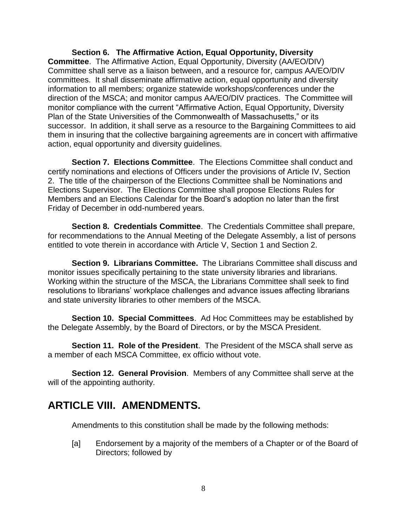**Section 6. The Affirmative Action, Equal Opportunity, Diversity Committee**. The Affirmative Action, Equal Opportunity, Diversity (AA/EO/DIV) Committee shall serve as a liaison between, and a resource for, campus AA/EO/DIV committees. It shall disseminate affirmative action, equal opportunity and diversity information to all members; organize statewide workshops/conferences under the direction of the MSCA; and monitor campus AA/EO/DIV practices. The Committee will monitor compliance with the current "Affirmative Action, Equal Opportunity, Diversity Plan of the State Universities of the Commonwealth of Massachusetts," or its successor. In addition, it shall serve as a resource to the Bargaining Committees to aid them in insuring that the collective bargaining agreements are in concert with affirmative action, equal opportunity and diversity guidelines.

**Section 7. Elections Committee**. The Elections Committee shall conduct and certify nominations and elections of Officers under the provisions of Article IV, Section 2. The title of the chairperson of the Elections Committee shall be Nominations and Elections Supervisor. The Elections Committee shall propose Elections Rules for Members and an Elections Calendar for the Board's adoption no later than the first Friday of December in odd-numbered years.

**Section 8. Credentials Committee**. The Credentials Committee shall prepare, for recommendations to the Annual Meeting of the Delegate Assembly, a list of persons entitled to vote therein in accordance with Article V, Section 1 and Section 2.

**Section 9. Librarians Committee.** The Librarians Committee shall discuss and monitor issues specifically pertaining to the state university libraries and librarians. Working within the structure of the MSCA, the Librarians Committee shall seek to find resolutions to librarians' workplace challenges and advance issues affecting librarians and state university libraries to other members of the MSCA.

**Section 10. Special Committees**. Ad Hoc Committees may be established by the Delegate Assembly, by the Board of Directors, or by the MSCA President.

**Section 11. Role of the President**. The President of the MSCA shall serve as a member of each MSCA Committee, ex officio without vote.

**Section 12. General Provision**. Members of any Committee shall serve at the will of the appointing authority.

### **ARTICLE VIII. AMENDMENTS.**

Amendments to this constitution shall be made by the following methods:

[a] Endorsement by a majority of the members of a Chapter or of the Board of Directors; followed by